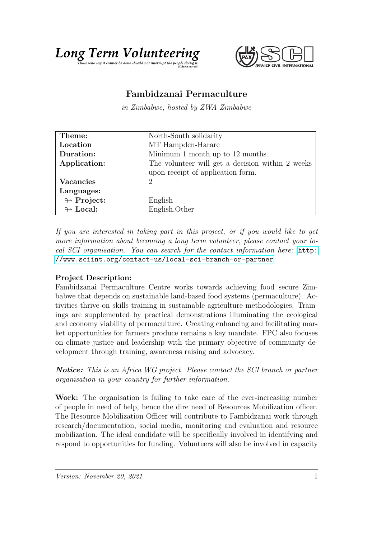

## Fambidzanai Permaculture

in Zimbabwe, hosted by ZWA Zimbabwe

| Theme:                     | North-South solidarity                           |
|----------------------------|--------------------------------------------------|
| Location                   | MT Hampden-Harare                                |
| Duration:                  | Minimum 1 month up to 12 months.                 |
| Application:               | The volunteer will get a decision within 2 weeks |
|                            | upon receipt of application form.                |
| <b>Vacancies</b>           | 2                                                |
| Languages:                 |                                                  |
| $\looparrowright$ Project: | English                                          |
| $\leftrightarrow$ Local:   | English, Other                                   |

If you are interested in taking part in this project, or if you would like to get more information about becoming a long term volunteer, please contact your local SCI organisation. You can search for the contact information here: [http:](http://www.sciint.org/contact-us/local-sci-branch-or-partner) [//www.sciint.org/contact-us/local-sci-branch-or-partner](http://www.sciint.org/contact-us/local-sci-branch-or-partner)

## Project Description:

Fambidzanai Permaculture Centre works towards achieving food secure Zimbabwe that depends on sustainable land-based food systems (permaculture). Activities thrive on skills training in sustainable agriculture methodologies. Trainings are supplemented by practical demonstrations illuminating the ecological and economy viability of permaculture. Creating enhancing and facilitating market opportunities for farmers produce remains a key mandate. FPC also focuses on climate justice and leadership with the primary objective of community development through training, awareness raising and advocacy.

**Notice:** This is an Africa WG project. Please contact the SCI branch or partner organisation in your country for further information.

Work: The organisation is failing to take care of the ever-increasing number of people in need of help, hence the dire need of Resources Mobilization officer. The Resource Mobilization Officer will contribute to Fambidzanai work through research/documentation, social media, monitoring and evaluation and resource mobilization. The ideal candidate will be specifically involved in identifying and respond to opportunities for funding. Volunteers will also be involved in capacity